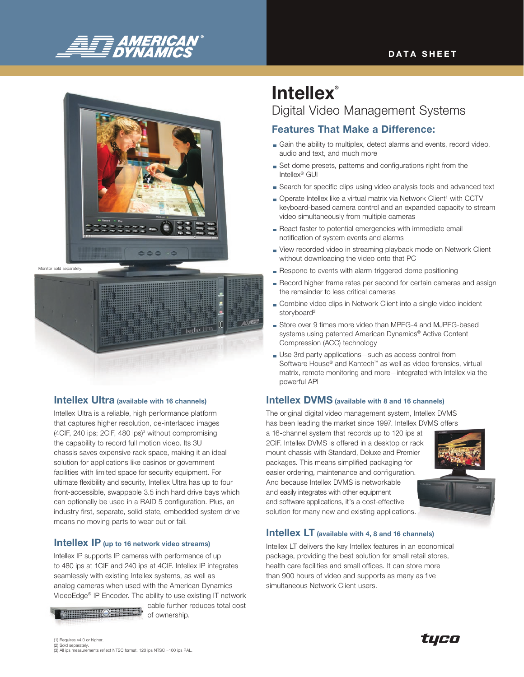

#### **DATA SHEET**





#### **Intellex Ultra** (available with 16 channels)

Intellex Ultra is a reliable, high performance platform that captures higher resolution, de-interlaced images (4CIF, 240 ips; 2CIF, 480 ips)<sup>3</sup> without compromising the capability to record full motion video. Its 3U chassis saves expensive rack space, making it an ideal solution for applications like casinos or government facilities with limited space for security equipment. For ultimate flexibility and security, Intellex Ultra has up to four front-accessible, swappable 3.5 inch hard drive bays which can optionally be used in a RAID 5 configuration. Plus, an industry first, separate, solid-state, embedded system drive means no moving parts to wear out or fail.

#### Intellex IP (up to 16 network video streams)

Intellex IP supports IP cameras with performance of up to 480 ips at 1CIF and 240 ips at 4CIF. Intellex IP integrates seamlessly with existing Intellex systems, as well as analog cameras when used with the American Dynamics VideoEdge® IP Encoder. The ability to use existing IT network

cable further reduces total cost of ownership.

# **Intellex®** Digital Video Management Systems

## Features That Make a Difference:

- Gain the ability to multiplex, detect alarms and events, record video, audio and text, and much more
- Set dome presets, patterns and configurations right from the Intellex® GUI
- Search for specific clips using video analysis tools and advanced text
- Operate Intellex like a virtual matrix via Network Client<sup>1</sup> with CCTV keyboard-based camera control and an expanded capacity to stream video simultaneously from multiple cameras
- React faster to potential emergencies with immediate email notification of system events and alarms
- View recorded video in streaming playback mode on Network Client without downloading the video onto that PC
- Respond to events with alarm-triggered dome positioning
- Record higher frame rates per second for certain cameras and assign the remainder to less critical cameras
- Combine video clips in Network Client into a single video incident storyboard<sup>2</sup>
- Store over 9 times more video than MPEG-4 and MJPEG-based systems using patented American Dynamics® Active Content Compression (ACC) technology
- Use 3rd party applications—such as access control from Software House® and Kantech™ as well as video forensics, virtual matrix, remote monitoring and more—integrated with Intellex via the powerful API

#### Intellex DVMS (available with 8 and 16 channels)

The original digital video management system, Intellex DVMS has been leading the market since 1997. Intellex DVMS offers

a 16-channel system that records up to 120 ips at 2CIF. Intellex DVMS is offered in a desktop or rack mount chassis with Standard, Deluxe and Premier packages. This means simplified packaging for easier ordering, maintenance and configuration. And because Intellex DVMS is networkable and easily integrates with other equipment and software applications, it's a cost-effective solution for many new and existing applications.



#### Intellex LT (available with 4, 8 and 16 channels)

Intellex LT delivers the key Intellex features in an economical package, providing the best solution for small retail stores, health care facilities and small offices. It can store more than 900 hours of video and supports as many as five simultaneous Network Client users.

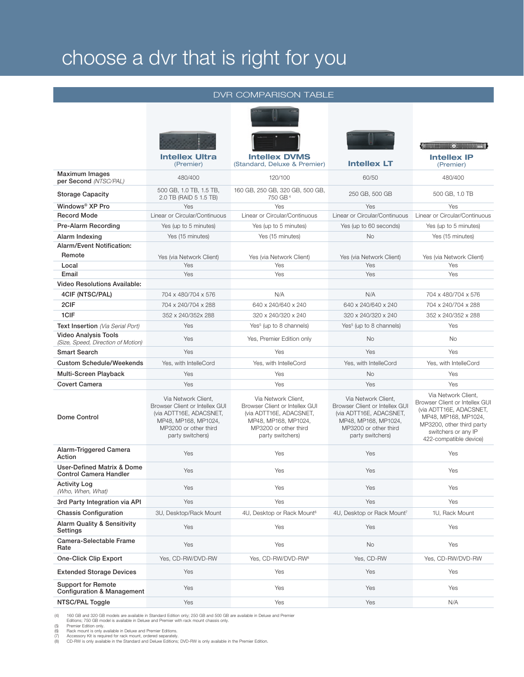# choose a dvr that is right for you

#### DVR Comparison table





|                                                                    | <b>Intellex Ultra</b><br>(Premier)                                                                                                                    | <b>Intellex DVMS</b><br>(Standard, Deluxe & Premier)                                                                                                  | <b>Intellex LT</b>                                                                                                                                    | <b>Intellex IP</b><br>(Premier)                                                                                                                                                        |
|--------------------------------------------------------------------|-------------------------------------------------------------------------------------------------------------------------------------------------------|-------------------------------------------------------------------------------------------------------------------------------------------------------|-------------------------------------------------------------------------------------------------------------------------------------------------------|----------------------------------------------------------------------------------------------------------------------------------------------------------------------------------------|
| Maximum Images<br>per Second (NTSC/PAL)                            | 480/400                                                                                                                                               | 120/100                                                                                                                                               | 60/50                                                                                                                                                 | 480/400                                                                                                                                                                                |
| <b>Storage Capacity</b>                                            | 500 GB, 1.0 TB, 1.5 TB,<br>2.0 TB (RAID 5 1.5 TB)                                                                                                     | 160 GB, 250 GB, 320 GB, 500 GB,<br>750 GB <sup>4</sup>                                                                                                | 250 GB, 500 GB                                                                                                                                        | 500 GB, 1.0 TB                                                                                                                                                                         |
| Windows <sup>®</sup> XP Pro                                        | Yes                                                                                                                                                   | Yes                                                                                                                                                   | Yes                                                                                                                                                   | Yes                                                                                                                                                                                    |
| <b>Record Mode</b>                                                 | Linear or Circular/Continuous                                                                                                                         | Linear or Circular/Continuous                                                                                                                         | Linear or Circular/Continuous                                                                                                                         | Linear or Circular/Continuous                                                                                                                                                          |
| <b>Pre-Alarm Recording</b>                                         | Yes (up to 5 minutes)                                                                                                                                 | Yes (up to 5 minutes)                                                                                                                                 | Yes (up to 60 seconds)                                                                                                                                | Yes (up to 5 minutes)                                                                                                                                                                  |
| Alarm Indexing                                                     | Yes (15 minutes)                                                                                                                                      | Yes (15 minutes)                                                                                                                                      | <b>No</b>                                                                                                                                             | Yes (15 minutes)                                                                                                                                                                       |
| <b>Alarm/Event Notification:</b>                                   |                                                                                                                                                       |                                                                                                                                                       |                                                                                                                                                       |                                                                                                                                                                                        |
| Remote                                                             | Yes (via Network Client)                                                                                                                              | Yes (via Network Client)                                                                                                                              | Yes (via Network Client)                                                                                                                              | Yes (via Network Client)                                                                                                                                                               |
| Local                                                              | Yes                                                                                                                                                   | Yes                                                                                                                                                   | Yes                                                                                                                                                   | Yes                                                                                                                                                                                    |
| Email                                                              | Yes                                                                                                                                                   | Yes                                                                                                                                                   | Yes                                                                                                                                                   | Yes                                                                                                                                                                                    |
| <b>Video Resolutions Available:</b>                                |                                                                                                                                                       |                                                                                                                                                       |                                                                                                                                                       |                                                                                                                                                                                        |
| 4CIF (NTSC/PAL)                                                    | 704 x 480/704 x 576                                                                                                                                   | N/A                                                                                                                                                   | N/A                                                                                                                                                   | 704 x 480/704 x 576                                                                                                                                                                    |
| 2CIF                                                               | 704 x 240/704 x 288                                                                                                                                   | 640 x 240/640 x 240                                                                                                                                   | 640 x 240/640 x 240                                                                                                                                   | 704 x 240/704 x 288                                                                                                                                                                    |
| 1CIF                                                               | 352 x 240/352x 288                                                                                                                                    | 320 x 240/320 x 240                                                                                                                                   | 320 x 240/320 x 240                                                                                                                                   | 352 x 240/352 x 288                                                                                                                                                                    |
| Text Insertion (Via Serial Port)                                   | Yes                                                                                                                                                   | Yes <sup>5</sup> (up to 8 channels)                                                                                                                   | Yes <sup>5</sup> (up to 8 channels)                                                                                                                   | Yes                                                                                                                                                                                    |
| <b>Video Analysis Tools</b><br>(Size, Speed, Direction of Motion)  | Yes                                                                                                                                                   | Yes, Premier Edition only                                                                                                                             | <b>No</b>                                                                                                                                             | No                                                                                                                                                                                     |
| <b>Smart Search</b>                                                | Yes                                                                                                                                                   | Yes                                                                                                                                                   | Yes                                                                                                                                                   | Yes                                                                                                                                                                                    |
| <b>Custom Schedule/Weekends</b>                                    | Yes, with IntelleCord                                                                                                                                 | Yes, with IntelleCord                                                                                                                                 | Yes, with IntelleCord                                                                                                                                 | Yes, with IntelleCord                                                                                                                                                                  |
| Multi-Screen Playback                                              | Yes                                                                                                                                                   | Yes                                                                                                                                                   | <b>No</b>                                                                                                                                             | Yes                                                                                                                                                                                    |
| <b>Covert Camera</b>                                               | Yes                                                                                                                                                   | Yes                                                                                                                                                   | Yes                                                                                                                                                   | Yes                                                                                                                                                                                    |
| Dome Control                                                       | Via Network Client,<br>Browser Client or Intellex GUI<br>(via ADTT16E, ADACSNET,<br>MP48, MP168, MP1024,<br>MP3200 or other third<br>party switchers) | Via Network Client,<br>Browser Client or Intellex GUI<br>(via ADTT16E, ADACSNET,<br>MP48, MP168, MP1024,<br>MP3200 or other third<br>party switchers) | Via Network Client,<br>Browser Client or Intellex GUI<br>(via ADTT16E, ADACSNET,<br>MP48, MP168, MP1024,<br>MP3200 or other third<br>party switchers) | Via Network Client,<br>Browser Client or Intellex GUI<br>(via ADTT16E, ADACSNET,<br>MP48, MP168, MP1024,<br>MP3200, other third party<br>switchers or any IP<br>422-compatible device) |
| Alarm-Triggered Camera<br>Action                                   | Yes                                                                                                                                                   | Yes                                                                                                                                                   | Yes                                                                                                                                                   | Yes                                                                                                                                                                                    |
| User-Defined Matrix & Dome<br><b>Control Camera Handler</b>        | Yes                                                                                                                                                   | Yes                                                                                                                                                   | Yes                                                                                                                                                   | Yes                                                                                                                                                                                    |
| <b>Activity Log</b><br>(Who, When, What)                           | Yes                                                                                                                                                   | Yes                                                                                                                                                   | Yes                                                                                                                                                   | Yes                                                                                                                                                                                    |
| 3rd Party Integration via API                                      | Yes                                                                                                                                                   | Yes                                                                                                                                                   | Yes                                                                                                                                                   | Yes                                                                                                                                                                                    |
| <b>Chassis Configuration</b>                                       | 3U, Desktop/Rack Mount                                                                                                                                | 4U, Desktop or Rack Mount <sup>6</sup>                                                                                                                | 4U, Desktop or Rack Mount <sup>7</sup>                                                                                                                | 1U, Rack Mount                                                                                                                                                                         |
| <b>Alarm Quality &amp; Sensitivity</b><br>Settings                 | Yes                                                                                                                                                   | Yes                                                                                                                                                   | Yes                                                                                                                                                   | Yes                                                                                                                                                                                    |
| Camera-Selectable Frame<br>Rate                                    | Yes                                                                                                                                                   | Yes                                                                                                                                                   | No.                                                                                                                                                   | Yes                                                                                                                                                                                    |
| <b>One-Click Clip Export</b>                                       | Yes, CD-RW/DVD-RW                                                                                                                                     | Yes, CD-RW/DVD-RW <sup>8</sup>                                                                                                                        | Yes, CD-RW                                                                                                                                            | Yes, CD-RW/DVD-RW                                                                                                                                                                      |
| <b>Extended Storage Devices</b>                                    | Yes                                                                                                                                                   | Yes                                                                                                                                                   | Yes                                                                                                                                                   | Yes                                                                                                                                                                                    |
| <b>Support for Remote</b><br><b>Configuration &amp; Management</b> | Yes                                                                                                                                                   | Yes                                                                                                                                                   | Yes                                                                                                                                                   | Yes                                                                                                                                                                                    |
| NTSC/PAL Toggle                                                    | Yes                                                                                                                                                   | Yes                                                                                                                                                   | Yes                                                                                                                                                   | N/A                                                                                                                                                                                    |

(4) 160 GB and 320 GB models are available in Standard Edition only; 250 GB and 500 GB are available in Deluxe and Premier<br>Editions; 750 GB model is available in Deluxe and Premier with rack mount chassis only.<br>(5) Premier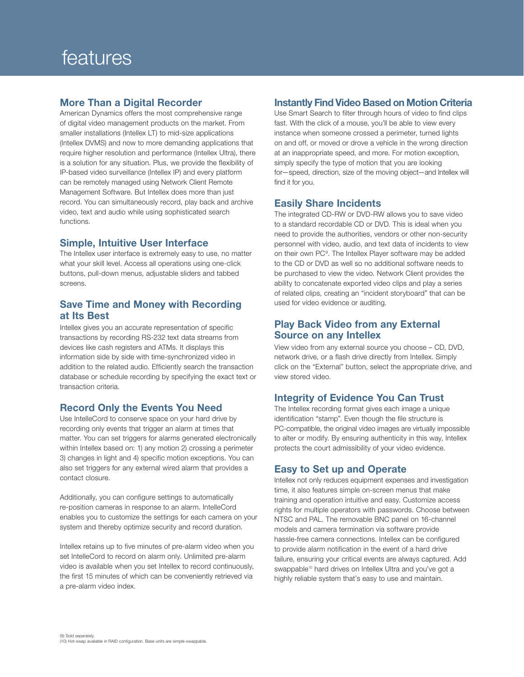#### More Than a Digital Recorder

American Dynamics offers the most comprehensive range of digital video management products on the market. From smaller installations (Intellex LT) to mid-size applications (Intellex DVMS) and now to more demanding applications that require higher resolution and performance (Intellex Ultra), there is a solution for any situation. Plus, we provide the flexibility of IP-based video surveillance (Intellex IP) and every platform can be remotely managed using Network Client Remote Management Software. But Intellex does more than just record. You can simultaneously record, play back and archive video, text and audio while using sophisticated search functions.

#### Simple, Intuitive User Interface

The Intellex user interface is extremely easy to use, no matter what your skill level. Access all operations using one-click buttons, pull-down menus, adjustable sliders and tabbed screens.

#### Save Time and Money with Recording at Its Best

Intellex gives you an accurate representation of specific transactions by recording RS-232 text data streams from devices like cash registers and ATMs. It displays this information side by side with time-synchronized video in addition to the related audio. Efficiently search the transaction database or schedule recording by specifying the exact text or transaction criteria.

#### Record Only the Events You Need

Use IntelleCord to conserve space on your hard drive by recording only events that trigger an alarm at times that matter. You can set triggers for alarms generated electronically within Intellex based on: 1) any motion 2) crossing a perimeter 3) changes in light and 4) specific motion exceptions. You can also set triggers for any external wired alarm that provides a contact closure.

Additionally, you can configure settings to automatically re-position cameras in response to an alarm. IntelleCord enables you to customize the settings for each camera on your system and thereby optimize security and record duration.

Intellex retains up to five minutes of pre-alarm video when you set IntelleCord to record on alarm only. Unlimited pre-alarm video is available when you set Intellex to record continuously, the first 15 minutes of which can be conveniently retrieved via a pre-alarm video index.

#### Instantly Find Video Based on Motion Criteria

Use Smart Search to filter through hours of video to find clips fast. With the click of a mouse, you'll be able to view every instance when someone crossed a perimeter, turned lights on and off, or moved or drove a vehicle in the wrong direction at an inappropriate speed, and more. For motion exception, simply specify the type of motion that you are looking for—speed, direction, size of the moving object—and Intellex will find it for you.

#### Easily Share Incidents

The integrated CD-RW or DVD-RW allows you to save video to a standard recordable CD or DVD. This is ideal when you need to provide the authorities, vendors or other non-security personnel with video, audio, and text data of incidents to view on their own PC<sup>9</sup>. The Intellex Player software may be added to the CD or DVD as well so no additional software needs to be purchased to view the video. Network Client provides the ability to concatenate exported video clips and play a series of related clips, creating an "incident storyboard" that can be used for video evidence or auditing.

#### Play Back Video from any External Source on any Intellex

View video from any external source you choose – CD, DVD, network drive, or a flash drive directly from Intellex. Simply click on the "External" button, select the appropriate drive, and view stored video.

#### Integrity of Evidence You Can Trust

The Intellex recording format gives each image a unique identification "stamp". Even though the file structure is PC-compatible, the original video images are virtually impossible to alter or modify. By ensuring authenticity in this way, Intellex protects the court admissibility of your video evidence.

#### Easy to Set up and Operate

Intellex not only reduces equipment expenses and investigation time, it also features simple on-screen menus that make training and operation intuitive and easy. Customize access rights for multiple operators with passwords. Choose between NTSC and PAL. The removable BNC panel on 16-channel models and camera termination via software provide hassle-free camera connections. Intellex can be configured to provide alarm notification in the event of a hard drive failure, ensuring your critical events are always captured. Add swappable<sup>10</sup> hard drives on Intellex Ultra and you've got a highly reliable system that's easy to use and maintain.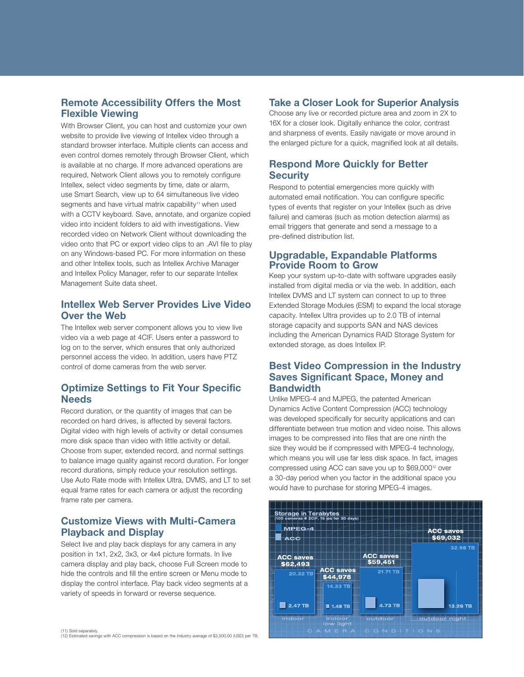#### Remote Accessibility Offers the Most Flexible Viewing

With Browser Client, you can host and customize your own website to provide live viewing of Intellex video through a standard browser interface. Multiple clients can access and even control domes remotely through Browser Client, which is available at no charge. If more advanced operations are required, Network Client allows you to remotely configure Intellex, select video segments by time, date or alarm, use Smart Search, view up to 64 simultaneous live video segments and have virtual matrix capability<sup>11</sup> when used with a CCTV keyboard. Save, annotate, and organize copied video into incident folders to aid with investigations. View recorded video on Network Client without downloading the video onto that PC or export video clips to an .AVI file to play on any Windows-based PC. For more information on these and other Intellex tools, such as Intellex Archive Manager and Intellex Policy Manager, refer to our separate Intellex Management Suite data sheet.

#### Intellex Web Server Provides Live Video Over the Web

The Intellex web server component allows you to view live video via a web page at 4CIF. Users enter a password to log on to the server, which ensures that only authorized personnel access the video. In addition, users have PTZ control of dome cameras from the web server.

### Optimize Settings to Fit Your Specific **Needs**

Record duration, or the quantity of images that can be recorded on hard drives, is affected by several factors. Digital video with high levels of activity or detail consumes more disk space than video with little activity or detail. Choose from super, extended record, and normal settings to balance image quality against record duration. For longer record durations, simply reduce your resolution settings. Use Auto Rate mode with Intellex Ultra, DVMS, and LT to set equal frame rates for each camera or adjust the recording frame rate per camera.

### Customize Views with Multi-Camera Playback and Display

Select live and play back displays for any camera in any position in 1x1, 2x2, 3x3, or 4x4 picture formats. In live camera display and play back, choose Full Screen mode to hide the controls and fill the entire screen or Menu mode to display the control interface. Play back video segments at a variety of speeds in forward or reverse sequence.

## **Security**

Respond to potential emergencies more quickly with automated email notification. You can configure specific types of events that register on your Intellex (such as drive failure) and cameras (such as motion detection alarms) as email triggers that generate and send a message to a pre-defined distribution list.

Respond More Quickly for Better

Take a Closer Look for Superior Analysis Choose any live or recorded picture area and zoom in 2X to 16X for a closer look. Digitally enhance the color, contrast and sharpness of events. Easily navigate or move around in the enlarged picture for a quick, magnified look at all details.

#### Upgradable, Expandable Platforms Provide Room to Grow

Keep your system up-to-date with software upgrades easily installed from digital media or via the web. In addition, each Intellex DVMS and LT system can connect to up to three Extended Storage Modules (ESM) to expand the local storage capacity. Intellex Ultra provides up to 2.0 TB of internal storage capacity and supports SAN and NAS devices including the American Dynamics RAID Storage System for extended storage, as does Intellex IP.

#### Best Video Compression in the Industry Saves Significant Space, Money and **Bandwidth**

Unlike MPEG-4 and MJPEG, the patented American Dynamics Active Content Compression (ACC) technology was developed specifically for security applications and can differentiate between true motion and video noise. This allows images to be compressed into files that are one ninth the size they would be if compressed with MPEG-4 technology, which means you will use far less disk space. In fact, images compressed using ACC can save you up to \$69,000<sup>12</sup> over a 30-day period when you factor in the additional space you would have to purchase for storing MPEG-4 images.



(11) Sold separately (12) Estimated savings with ACC compression is based on the industry average of \$3,500.00 (USD) per TB.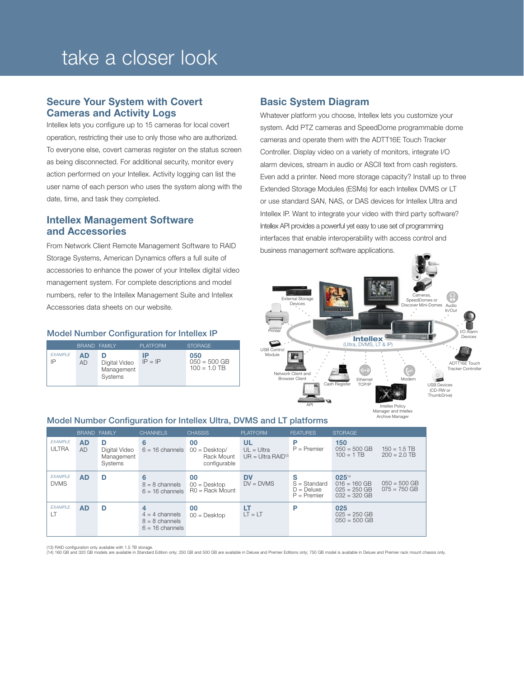# take a closer look

#### Secure Your System with Covert Cameras and Activity Logs

Intellex lets you configure up to 15 cameras for local covert operation, restricting their use to only those who are authorized. To everyone else, covert cameras register on the status screen as being disconnected. For additional security, monitor every action performed on your Intellex. Activity logging can list the user name of each person who uses the system along with the date, time, and task they completed.

#### Intellex Management Software and Accessories

From Network Client Remote Management Software to RAID Storage Systems, American Dynamics offers a full suite of accessories to enhance the power of your Intellex digital video management system. For complete descriptions and model numbers, refer to the Intellex Management Suite and Intellex Accessories data sheets on our website.

#### Model Number Configuration for Intellex IP

|                |                 | BRAND FAMILY                                | <b>PLATFORM</b> | <b>STORAGE</b>                          |
|----------------|-----------------|---------------------------------------------|-----------------|-----------------------------------------|
| <b>EXAMPLE</b> | AD<br><b>AD</b> | D<br>Digital Video<br>Management<br>Systems | IP<br>$IP = IP$ | 050<br>$050 = 500$ GB<br>$100 = 1.0$ TB |

#### Basic System Diagram

Whatever platform you choose, Intellex lets you customize your system. Add PTZ cameras and SpeedDome programmable dome cameras and operate them with the ADTT16E Touch Tracker Controller. Display video on a variety of monitors, integrate I/O alarm devices, stream in audio or ASCII text from cash registers. Even add a printer. Need more storage capacity? Install up to three Extended Storage Modules (ESMs) for each Intellex DVMS or LT or use standard SAN, NAS, or DAS devices for Intellex Ultra and Intellex IP. Want to integrate your video with third party software? Intellex API provides a powerful yet easy to use set of programming interfaces that enable interoperability with access control and business management software applications.



Archive Manager

|                                | <b>BRAND FAMILY</b>    |                                             | <b>CHANNELS</b>                                                | <b>CHASSIS</b>                                      | <b>PLATFORM</b>                           | <b>FEATURES</b>                                      | <b>STORAGE</b>                                              |                                  |
|--------------------------------|------------------------|---------------------------------------------|----------------------------------------------------------------|-----------------------------------------------------|-------------------------------------------|------------------------------------------------------|-------------------------------------------------------------|----------------------------------|
| <b>EXAMPLE</b><br><b>ULTRA</b> | <b>AD</b><br><b>AD</b> | D<br>Digital Video<br>Management<br>Systems | 6<br>$6 = 16$ channels                                         | 00<br>$00 =$ Desktop/<br>Rack Mount<br>configurable | UL<br>$UL = Ultra$<br>$UR = Ultra RAID13$ | P<br>$P =$ Premier                                   | 150<br>$050 = 500$ GB<br>$100 = 1$ TB                       | $150 = 1.5$ TB<br>$200 = 2.0$ TB |
| <b>EXAMPLE</b><br><b>DVMS</b>  | <b>AD</b>              | D                                           | 6<br>$8 = 8$ channels<br>$6 = 16$ channels                     | 00<br>$00 =$ Desktop<br>$RO = Back Mount$           | <b>DV</b><br>$DV = DVMS$                  | s<br>$S = Standard$<br>$D =$ Deluxe<br>$P =$ Premier | 02514<br>$016 = 160$ GB<br>$025 = 250$ GB<br>$032 = 320$ GB | $050 = 500$ GB<br>$075 = 750$ GB |
| <b>EXAMPLE</b><br>LT           | <b>AD</b>              | D                                           | 4<br>$4 = 4$ channels<br>$8 = 8$ channels<br>$6 = 16$ channels | 00<br>$00 =$ Desktop                                | LT<br>$LT = LT$                           | P                                                    | 025<br>$025 = 250$ GB<br>$050 = 500$ GB                     |                                  |

#### Model Number Configuration for Intellex Ultra, DVMS and LT platforms

(13) RAID configuration only available with 1.5 TB storage.<br>(14) 160 GB and 320 GB models are available in Standard Edition only; 250 GB and 500 GB are available in Peluxe and Premier Editions only; 750 GB model is availab